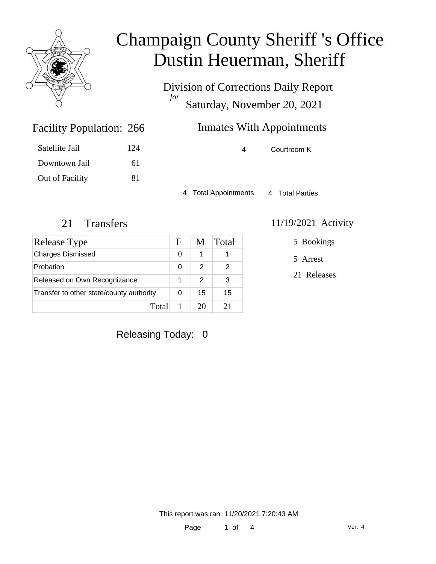

Division of Corrections Daily Report *for* Saturday, November 20, 2021

### Inmates With Appointments

4 Courtroom K

4 Total Appointments 4 Total Parties

Facility Population: 266

Satellite Jail 124

Downtown Jail 61

Out of Facility 81

| <b>Release Type</b>                      | F | M             | Total |
|------------------------------------------|---|---------------|-------|
| <b>Charges Dismissed</b>                 | 0 | 1             |       |
| Probation                                | 0 | $\mathcal{P}$ | 2     |
| Released on Own Recognizance             |   | 2             | 3     |
| Transfer to other state/county authority |   | 15            | 15    |
| Total                                    |   | 20            | 21    |

### 21 Transfers 11/19/2021 Activity

5 Bookings

5 Arrest

21 Releases

Releasing Today: 0

This report was ran 11/20/2021 7:20:43 AM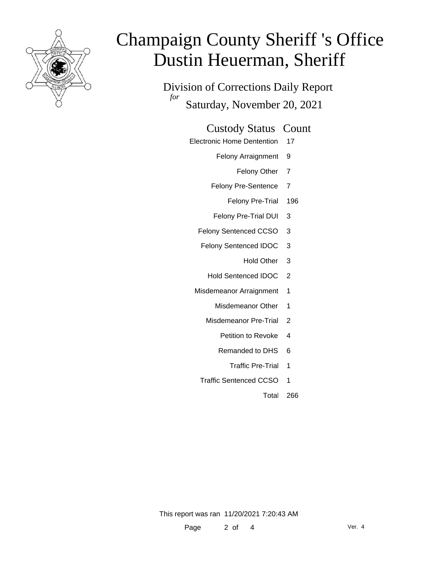

Division of Corrections Daily Report *for* Saturday, November 20, 2021

#### Custody Status Count

- Electronic Home Dentention 17
	- Felony Arraignment 9
		- Felony Other 7
	- Felony Pre-Sentence 7
		- Felony Pre-Trial 196
	- Felony Pre-Trial DUI 3
	- Felony Sentenced CCSO 3
	- Felony Sentenced IDOC 3
		- Hold Other 3
		- Hold Sentenced IDOC 2
	- Misdemeanor Arraignment 1
		- Misdemeanor Other 1
		- Misdemeanor Pre-Trial 2
			- Petition to Revoke 4
			- Remanded to DHS 6
				- Traffic Pre-Trial 1
		- Traffic Sentenced CCSO 1
			- Total 266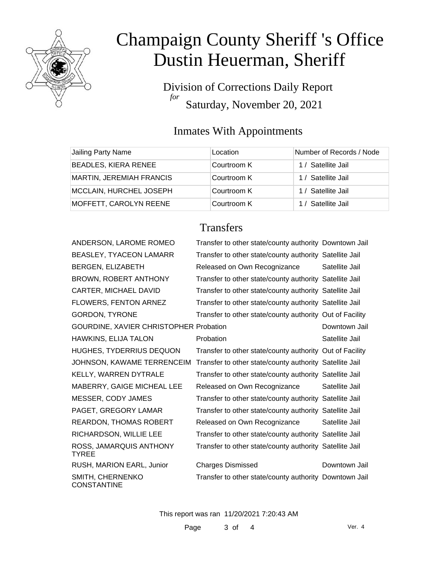

Division of Corrections Daily Report *for* Saturday, November 20, 2021

### Inmates With Appointments

| Jailing Party Name              | Location    | Number of Records / Node |
|---------------------------------|-------------|--------------------------|
| BEADLES, KIERA RENEE            | Courtroom K | 1 / Satellite Jail       |
| <b>MARTIN, JEREMIAH FRANCIS</b> | Courtroom K | 1 / Satellite Jail       |
| MCCLAIN, HURCHEL JOSEPH         | Courtroom K | 1 / Satellite Jail       |
| MOFFETT, CAROLYN REENE          | Courtroom K | 1 / Satellite Jail       |

### **Transfers**

| ANDERSON, LAROME ROMEO                  | Transfer to other state/county authority Downtown Jail   |                |
|-----------------------------------------|----------------------------------------------------------|----------------|
| BEASLEY, TYACEON LAMARR                 | Transfer to other state/county authority Satellite Jail  |                |
| BERGEN, ELIZABETH                       | Released on Own Recognizance                             | Satellite Jail |
| BROWN, ROBERT ANTHONY                   | Transfer to other state/county authority Satellite Jail  |                |
| CARTER, MICHAEL DAVID                   | Transfer to other state/county authority Satellite Jail  |                |
| FLOWERS, FENTON ARNEZ                   | Transfer to other state/county authority Satellite Jail  |                |
| <b>GORDON, TYRONE</b>                   | Transfer to other state/county authority Out of Facility |                |
| GOURDINE, XAVIER CHRISTOPHER Probation  |                                                          | Downtown Jail  |
| HAWKINS, ELIJA TALON                    | Probation                                                | Satellite Jail |
| HUGHES, TYDERRIUS DEQUON                | Transfer to other state/county authority Out of Facility |                |
| JOHNSON, KAWAME TERRENCEIM              | Transfer to other state/county authority Satellite Jail  |                |
| KELLY, WARREN DYTRALE                   | Transfer to other state/county authority Satellite Jail  |                |
| MABERRY, GAIGE MICHEAL LEE              | Released on Own Recognizance                             | Satellite Jail |
| MESSER, CODY JAMES                      | Transfer to other state/county authority Satellite Jail  |                |
| PAGET, GREGORY LAMAR                    | Transfer to other state/county authority Satellite Jail  |                |
| REARDON, THOMAS ROBERT                  | Released on Own Recognizance                             | Satellite Jail |
| RICHARDSON, WILLIE LEE                  | Transfer to other state/county authority Satellite Jail  |                |
| ROSS, JAMARQUIS ANTHONY<br><b>TYREE</b> | Transfer to other state/county authority Satellite Jail  |                |
| RUSH, MARION EARL, Junior               | <b>Charges Dismissed</b>                                 | Downtown Jail  |
| SMITH, CHERNENKO<br><b>CONSTANTINE</b>  | Transfer to other state/county authority Downtown Jail   |                |

This report was ran 11/20/2021 7:20:43 AM